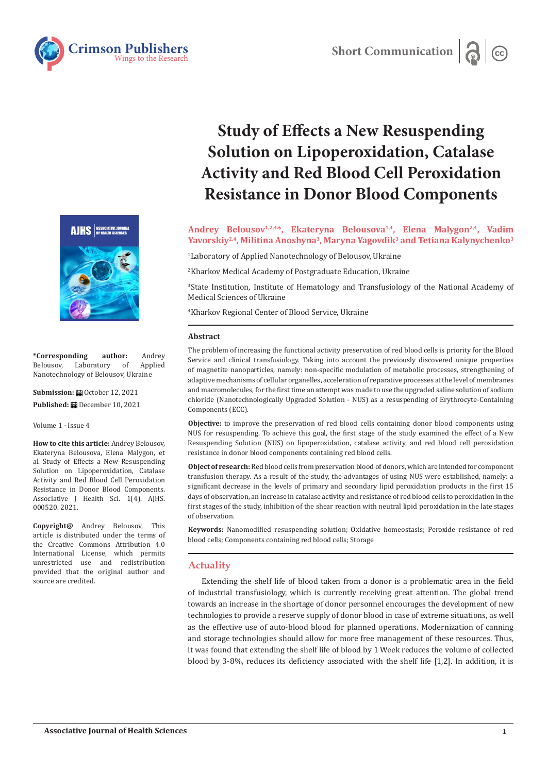





**\*Corresponding author:** Andrey Laboratory of Nanotechnology of Belousov, Ukraine

**Submission: 自**October 12, 2021 Published: **■** December 10, 2021

Volume 1 - Issue 4

**How to cite this article:** Andrey Belousov, Ekateryna Belousova, Elena Malygon, et al. Study of Effects a New Resuspending Solution on Lipoperoxidation, Catalase Activity and Red Blood Cell Peroxidation Resistance in Donor Blood Components. Associative J Health Sci. 1(4). AJHS. 000520. 2021.

**Copyright@** Andrey Belousov, This article is distributed under the terms of the Creative Commons Attribution 4.0 International License, which permits unrestricted use and redistribution provided that the original author and source are credited.

# **Study of Effects a New Resuspending Solution on Lipoperoxidation, Catalase Activity and Red Blood Cell Peroxidation Resistance in Donor Blood Components**

**Andrey Belousov1,2,4\*, Ekateryna Belousova1,4, Elena Malygon2,4, Vadim Yavorskiy2,4, Militina Anoshyna3, Maryna Yagovdik3 and Tetiana Kalynychenko3**

1 Laboratory of Applied Nanotechnology of Belousov, Ukraine

2 Kharkov Medical Academy of Postgraduate Education, Ukraine

3 State Institution, Institute of Hematology and Transfusiology of the National Academy of Medical Sciences of Ukraine

4 Kharkov Regional Center of Blood Service, Ukraine

#### **Abstract**

The problem of increasing the functional activity preservation of red blood cells is priority for the Blood Service and clinical transfusiology. Taking into account the previously discovered unique properties of magnetite nanoparticles, namely: non-specific modulation of metabolic processes, strengthening of adaptive mechanisms of cellular organelles, acceleration of reparative processes at the level of membranes and macromolecules, for the first time an attempt was made to use the upgraded saline solution of sodium chloride (Nanotechnologically Upgraded Solution - NUS) as a resuspending of Erythrocyte-Containing Components (ECC).

**Objective:** to improve the preservation of red blood cells containing donor blood components using NUS for resuspending. To achieve this goal, the first stage of the study examined the effect of a New Resuspending Solution (NUS) on lipoperoxidation, catalase activity, and red blood cell peroxidation resistance in donor blood components containing red blood cells.

**Object of research:** Red blood cells from preservation blood of donors, which are intended for component transfusion therapy. As a result of the study, the advantages of using NUS were established, namely: a significant decrease in the levels of primary and secondary lipid peroxidation products in the first 15 days of observation, an increase in catalase activity and resistance of red blood cells to peroxidation in the first stages of the study, inhibition of the shear reaction with neutral lipid peroxidation in the late stages of observation.

**Keywords:** Nanomodified resuspending solution; Oxidative homeostasis; Peroxide resistance of red blood cells; Components containing red blood cells; Storage

#### **Actuality**

Extending the shelf life of blood taken from a donor is a problematic area in the field of industrial transfusiology, which is currently receiving great attention. The global trend towards an increase in the shortage of donor personnel encourages the development of new technologies to provide a reserve supply of donor blood in case of extreme situations, as well as the effective use of auto-blood blood for planned operations. Modernization of canning and storage technologies should allow for more free management of these resources. Thus, it was found that extending the shelf life of blood by 1 Week reduces the volume of collected blood by 3-8%, reduces its deficiency associated with the shelf life [1,2]. In addition, it is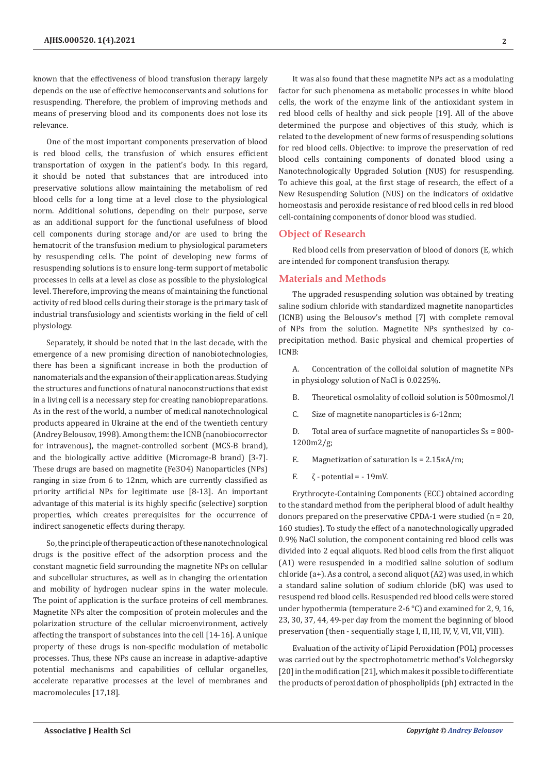**2**

known that the effectiveness of blood transfusion therapy largely depends on the use of effective hemoconservants and solutions for resuspending. Therefore, the problem of improving methods and means of preserving blood and its components does not lose its relevance.

One of the most important components preservation of blood is red blood cells, the transfusion of which ensures efficient transportation of oxygen in the patient's body. In this regard, it should be noted that substances that are introduced into preservative solutions allow maintaining the metabolism of red blood cells for a long time at a level close to the physiological norm. Additional solutions, depending on their purpose, serve as an additional support for the functional usefulness of blood cell components during storage and/or are used to bring the hematocrit of the transfusion medium to physiological parameters by resuspending cells. The point of developing new forms of resuspending solutions is to ensure long-term support of metabolic processes in cells at a level as close as possible to the physiological level. Therefore, improving the means of maintaining the functional activity of red blood cells during their storage is the primary task of industrial transfusiology and scientists working in the field of cell physiology.

Separately, it should be noted that in the last decade, with the emergence of a new promising direction of nanobiotechnologies, there has been a significant increase in both the production of nanomaterials and the expansion of their application areas. Studying the structures and functions of natural nanoconstructions that exist in a living cell is a necessary step for creating nanobiopreparations. As in the rest of the world, a number of medical nanotechnological products appeared in Ukraine at the end of the twentieth century (Andrey Belousov, 1998). Among them: the ICNB (nanobiocorrector for intravenous), the magnet-controlled sorbent (MCS-B brand), and the biologically active additive (Micromage-B brand) [3-7]. These drugs are based on magnetite (Fe3O4) Nanoparticles (NPs) ranging in size from 6 to 12nm, which are currently classified as priority artificial NPs for legitimate use [8-13]. An important advantage of this material is its highly specific (selective) sorption properties, which creates prerequisites for the occurrence of indirect sanogenetic effects during therapy.

So, the principle of therapeutic action of these nanotechnological drugs is the positive effect of the adsorption process and the constant magnetic field surrounding the magnetite NPs on cellular and subcellular structures, as well as in changing the orientation and mobility of hydrogen nuclear spins in the water molecule. The point of application is the surface proteins of cell membranes. Magnetite NPs alter the composition of protein molecules and the polarization structure of the cellular microenvironment, actively affecting the transport of substances into the cell [14-16]. A unique property of these drugs is non-specific modulation of metabolic processes. Thus, these NPs cause an increase in adaptive-adaptive potential mechanisms and capabilities of cellular organelles, accelerate reparative processes at the level of membranes and macromolecules [17,18].

It was also found that these magnetite NPs act as a modulating factor for such phenomena as metabolic processes in white blood cells, the work of the enzyme link of the antioxidant system in red blood cells of healthy and sick people [19]. All of the above determined the purpose and objectives of this study, which is related to the development of new forms of resuspending solutions for red blood cells. Objective: to improve the preservation of red blood cells containing components of donated blood using a Nanotechnologically Upgraded Solution (NUS) for resuspending. To achieve this goal, at the first stage of research, the effect of a New Resuspending Solution (NUS) on the indicators of oxidative homeostasis and peroxide resistance of red blood cells in red blood cell-containing components of donor blood was studied.

## **Object of Research**

Red blood cells from preservation of blood of donors (E, which are intended for component transfusion therapy.

## **Materials and Methods**

The upgraded resuspending solution was obtained by treating saline sodium chloride with standardized magnetite nanoparticles (ICNB) using the Belousov's method [7] with complete removal of NPs from the solution. Magnetite NPs synthesized by coprecipitation method. Basic physical and chemical properties of ICNB:

- A. Concentration of the colloidal solution of magnetite NPs in physiology solution of NaCl is 0.0225%.
- B. Theoretical osmolality of colloid solution is 500mosmol/l
- C. Size of magnetite nanoparticles is 6-12nm;
- D. Total area of surface magnetite of nanoparticles Ss = 800- 1200m2/g;
- E. Magnetization of saturation Is = 2.15кА/m;
- F.  $\zeta$  potential = -19mV.

Erythrocyte-Containing Components (ECC) obtained according to the standard method from the peripheral blood of adult healthy donors prepared on the preservative CPDA-1 were studied (n = 20, 160 studies). To study the effect of a nanotechnologically upgraded 0.9% NaCl solution, the component containing red blood cells was divided into 2 equal aliquots. Red blood cells from the first aliquot (A1) were resuspended in a modified saline solution of sodium chloride (a+). As a control, a second aliquot (A2) was used, in which a standard saline solution of sodium chloride (bK) was used to resuspend red blood cells. Resuspended red blood cells were stored under hypothermia (temperature 2-6 °C) and examined for 2, 9, 16, 23, 30, 37, 44, 49-per day from the moment the beginning of blood preservation (then - sequentially stage I, II, III, IV, V, VI, VII, VIII).

Evaluation of the activity of Lipid Peroxidation (POL) processes was carried out by the spectrophotometric method's Volchegorsky [20] in the modification [21], which makes it possible to differentiate the products of peroxidation of phospholipids (ph) extracted in the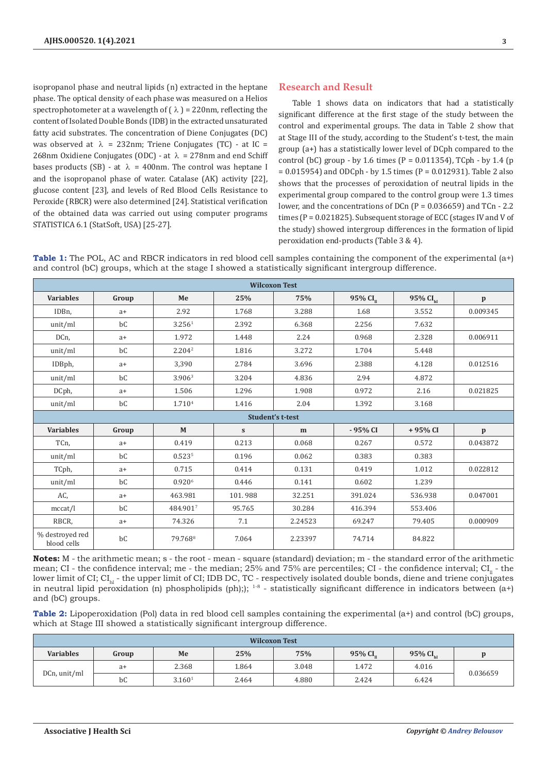isopropanol phase and neutral lipids (n) extracted in the heptane phase. The optical density of each phase was measured on a Helios spectrophotometer at a wavelength of  $(\lambda)$  = 220nm, reflecting the content of Isolated Double Bonds (IDB) in the extracted unsaturated fatty acid substrates. The concentration of Diene Conjugates (DC) was observed at  $\lambda = 232$ nm; Triene Conjugates (TC) - at IC = 268nm Oxidiene Conjugates (ODC) - at  $\lambda = 278$ nm and end Schiff bases products (SB) - at  $\lambda$  = 400nm. The control was heptane I and the isopropanol phase of water. Catalase (AK) activity [22], glucose content [23], and levels of Red Blood Cells Resistance to Peroxide (RBCR) were also determined [24]. Statistical verification of the obtained data was carried out using computer programs STATISTICA 6.1 (StatSoft, USA) [25-27].

# **Research and Result**

Table 1 shows data on indicators that had a statistically significant difference at the first stage of the study between the control and experimental groups. The data in Table 2 show that at Stage III of the study, according to the Student's t-test, the main group (a+) has a statistically lower level of DCph compared to the control (bC) group - by 1.6 times (P =  $0.011354$ ), TCph - by 1.4 (p = 0.015954) and ODCph - by 1.5 times (P = 0.012931). Table 2 also shows that the processes of peroxidation of neutral lipids in the experimental group compared to the control group were 1.3 times lower, and the concentrations of DCn  $(P = 0.036659)$  and TCn - 2.2 times (P = 0.021825). Subsequent storage of ECC (stages IV and V of the study) showed intergroup differences in the formation of lipid peroxidation end-products (Table 3 & 4).

**Table 1:** The POL, AC and RBCR indicators in red blood cell samples containing the component of the experimental  $(a+)$ and control (bC) groups, which at the stage I showed a statistically significant intergroup difference.

| <b>Wilcoxon Test</b>           |                         |                     |           |         |           |                      |              |  |  |
|--------------------------------|-------------------------|---------------------|-----------|---------|-----------|----------------------|--------------|--|--|
| <b>Variables</b>               | Group                   | Me                  | 25%       | 75%     | 95% $CIu$ | 95% CI <sub>hl</sub> | $\mathbf{p}$ |  |  |
| IDB <sub>n</sub>               | $a+$                    | 2.92                | 1.768     | 3.288   | 1.68      | 3.552                | 0.009345     |  |  |
| unit/ml                        | bC                      | 3.256 <sup>1</sup>  | 2.392     | 6.368   | 2.256     | 7.632                |              |  |  |
| DCn,                           | $a+$                    | 1.972               | 1.448     | 2.24    | 0.968     | 2.328                | 0.006911     |  |  |
| unit/ml                        | bC                      | 2.204 <sup>2</sup>  | 1.816     | 3.272   | 1.704     | 5.448                |              |  |  |
| IDBph,                         | $a+$                    | 3,390               | 2.784     | 3.696   | 2.388     | 4.128                | 0.012516     |  |  |
| unit/ml                        | bC                      | 3.906 <sup>3</sup>  | 3.204     | 4.836   | 2.94      | 4.872                |              |  |  |
| DCph,                          | $a+$                    | 1.506               | 1.296     | 1.908   | 0.972     | 2.16                 | 0.021825     |  |  |
| unit/ml                        | bC                      | 1.710 <sup>4</sup>  | 1.416     | 2.04    | 1.392     | 3.168                |              |  |  |
|                                | <b>Student's t-test</b> |                     |           |         |           |                      |              |  |  |
| <b>Variables</b>               | Group                   | $\mathbf M$         | ${\bf S}$ | m       | - 95% CI  | +95% CI              | $\mathbf{p}$ |  |  |
| TCn,                           | $a+$                    | 0.419               | 0.213     | 0.068   | 0.267     | 0.572                | 0.043872     |  |  |
| unit/ml                        | bC                      | 0.5235              | 0.196     | 0.062   | 0.383     | 0.383                |              |  |  |
| TCph,                          | $a+$                    | 0.715               | 0.414     | 0.131   | 0.419     | 1.012                | 0.022812     |  |  |
| unit/ml                        | bC                      | 0.9206              | 0.446     | 0.141   | 0.602     | 1.239                |              |  |  |
| AC,                            | $a+$                    | 463.981             | 101.988   | 32.251  | 391.024   | 536.938              | 0.047001     |  |  |
| mccat/l                        | bC                      | 484.9017            | 95.765    | 30.284  | 416.394   | 553.406              |              |  |  |
| RBCR,                          | $a+$                    | 74.326              | 7.1       | 2.24523 | 69.247    | 79.405               | 0.000909     |  |  |
| % destroyed red<br>blood cells | bC                      | 79.768 <sup>8</sup> | 7.064     | 2.23397 | 74.714    | 84.822               |              |  |  |

**Notes:** M - the arithmetic mean; s - the root - mean - square (standard) deviation; m - the standard error of the arithmetic mean; CI - the confidence interval; me - the median; 25% and 75% are percentiles; CI - the confidence interval;  $CI_n$  - the lower limit of CI;  $Cl_{h}$  - the upper limit of CI; IDB DC, TC - respectively isolated double bonds, diene and triene conjugates in neutral lipid peroxidation (n) phospholipids (ph););  $1-8$  - statistically significant difference in indicators between (a+) and (bC) groups.

**Table 2:** Lipoperoxidation (Pol) data in red blood cell samples containing the experimental (a+) and control (bC) groups, which at Stage III showed a statistically significant intergroup difference.

| <b>Wilcoxon Test</b> |       |                    |       |       |                        |            |              |  |  |
|----------------------|-------|--------------------|-------|-------|------------------------|------------|--------------|--|--|
| <b>Variables</b>     | Group | Me                 | 25%   | 75%   | $95%$ CI <sub>11</sub> | 95% $CIhl$ | $\mathbf{D}$ |  |  |
| DCn, unit/ml         | a+    | 2.368              | 1.864 | 3.048 | 1.472                  | 4.016      | 0.036659     |  |  |
|                      | bC    | 3.160 <sup>1</sup> | 2.464 | 4.880 | 2.424                  | 6.424      |              |  |  |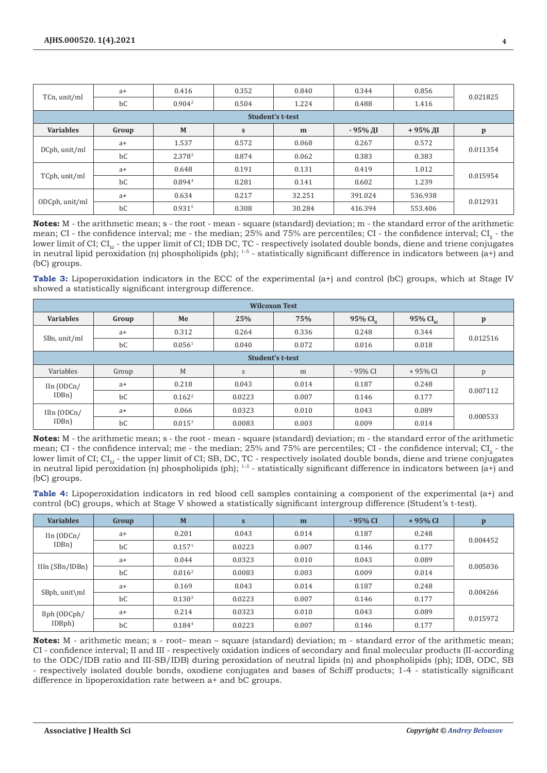| TCn, unit/ml            | $a+$  | 0.416              | 0.352     | 0.840  | 0.344    | 0.856   | 0.021825     |  |  |
|-------------------------|-------|--------------------|-----------|--------|----------|---------|--------------|--|--|
|                         | bC    | 0.904 <sup>2</sup> | 0.504     | 1.224  | 0.488    | 1.416   |              |  |  |
| <b>Student's t-test</b> |       |                    |           |        |          |         |              |  |  |
| <b>Variables</b>        | Group | M                  | ${\bf S}$ | m      | - 95% ді | +95% ДI | $\mathbf{p}$ |  |  |
| DCph, unit/ml           | $a+$  | 1.537              | 0.572     | 0.068  | 0.267    | 0.572   | 0.011354     |  |  |
|                         | bC    | 2.3783             | 0.874     | 0.062  | 0.383    | 0.383   |              |  |  |
| TCph, unit/ml           | $a+$  | 0.648              | 0.191     | 0.131  | 0.419    | 1.012   | 0.015954     |  |  |
|                         | bC    | 0.8944             | 0.281     | 0.141  | 0.602    | 1.239   |              |  |  |
| ODCph, unit/ml          | $a+$  | 0.634              | 0.217     | 32.251 | 391.024  | 536.938 | 0.012931     |  |  |
|                         | bC    | 0.9315             | 0.308     | 30.284 | 416.394  | 553.406 |              |  |  |

**Notes:** M - the arithmetic mean; s - the root - mean - square (standard) deviation; m - the standard error of the arithmetic mean; CI - the confidence interval; me - the median; 25% and 75% are percentiles; CI - the confidence interval;  $CI_{\text{u}}$  - the lower limit of CI;  $CI_{h}$  - the upper limit of CI; IDB DC, TC - respectively isolated double bonds, diene and triene conjugates in neutral lipid peroxidation (n) phospholipids (ph);  $1-5$  - statistically significant difference in indicators between (a+) and (bC) groups.

**Table 3:** Lipoperoxidation indicators in the ECC of the experimental (a+) and control (bC) groups, which at Stage IV showed a statistically significant intergroup difference.

| <b>Wilcoxon Test</b>                       |       |                    |        |       |                        |                      |              |  |  |
|--------------------------------------------|-------|--------------------|--------|-------|------------------------|----------------------|--------------|--|--|
| <b>Variables</b>                           | Group | Me                 | 25%    | 75%   | $95\%$ CI <sub>n</sub> | 95% CI <sub>hl</sub> | $\mathbf{p}$ |  |  |
|                                            | $a+$  | 0.312              | 0.264  | 0.336 | 0.248                  | 0.344                | 0.012516     |  |  |
| SBn, unit/ml                               | bC    | 0.056 <sup>1</sup> | 0.040  | 0.072 | 0.016                  | 0.018                |              |  |  |
| Student's t-test                           |       |                    |        |       |                        |                      |              |  |  |
| Variables                                  | Group | M                  | $\,$ S | m     | $-95%$ CI              | $+95%$ CI            | p            |  |  |
| $\text{IIn (ODCn/})$<br>IDB <sub>n</sub> ) | $a+$  | 0.218              | 0.043  | 0.014 | 0.187                  | 0.248                | 0.007112     |  |  |
|                                            | bC    | $0.162^2$          | 0.0223 | 0.007 | 0.146                  | 0.177                |              |  |  |
| $I$ IIn $(ODCn/$<br>IDBn)                  | $a+$  | 0.066              | 0.0323 | 0.010 | 0.043                  | 0.089                | 0.000533     |  |  |
|                                            | bC    | $0.015^{3}$        | 0.0083 | 0.003 | 0.009                  | 0.014                |              |  |  |

**Notes:** M - the arithmetic mean; s - the root - mean - square (standard) deviation; m - the standard error of the arithmetic mean; CI - the confidence interval; me - the median;  $25%$  and  $75%$  are percentiles; CI - the confidence interval; CI<sub>n</sub> - the lower limit of CI;  $CI_{hi}$  - the upper limit of CI; SB, DC, TC - respectively isolated double bonds, diene and triene conjugates in neutral lipid peroxidation (n) phospholipids (ph);  $1-3$  - statistically significant difference in indicators between (a+) and (bC) groups.

**Table 4:** Lipoperoxidation indicators in red blood cell samples containing a component of the experimental (a+) and control (bC) groups, which at Stage V showed a statistically significant intergroup difference (Student's t-test).

| <b>Variables</b>                 | Group | M                  | $\mathbf{s}$ | m     | - 95% CI | $+95%$ CI | $\mathbf{p}$ |
|----------------------------------|-------|--------------------|--------------|-------|----------|-----------|--------------|
| IIn (ODCn/<br>IDB <sub>n</sub> ) | $a+$  | 0.201              | 0.043        | 0.014 | 0.187    | 0.248     | 0.004452     |
|                                  | bC    | 0.157 <sup>1</sup> | 0.0223       | 0.007 | 0.146    | 0.177     |              |
| $I$ IIn $(SBn/IDBn)$             | $a+$  | 0.044              | 0.0323       | 0.010 | 0.043    | 0.089     | 0.005036     |
|                                  | bC    | 0.016 <sup>2</sup> | 0.0083       | 0.003 | 0.009    | 0.014     |              |
| SBph, unit\ml                    | $a+$  | 0.169              | 0.043        | 0.014 | 0.187    | 0.248     | 0.004266     |
|                                  | bC    | 0.130 <sup>3</sup> | 0.0223       | 0.007 | 0.146    | 0.177     |              |
| IIph (ODCph/<br>IDBph)           | $a+$  | 0.214              | 0.0323       | 0.010 | 0.043    | 0.089     | 0.015972     |
|                                  | bC    | 0.1844             | 0.0223       | 0.007 | 0.146    | 0.177     |              |

**Notes:** M - arithmetic mean; s - root– mean – square (standard) deviation; m - standard error of the arithmetic mean; CI - confidence interval; II and III - respectively oxidation indices of secondary and final molecular products (II-according to the ODC/IDB ratio and III-SB/IDB) during peroxidation of neutral lipids (n) and phospholipids (ph); IDB, ODC, SB - respectively isolated double bonds, oxodiene conjugates and bases of Schiff products; 1-4 - statistically significant difference in lipoperoxidation rate between a+ and bC groups.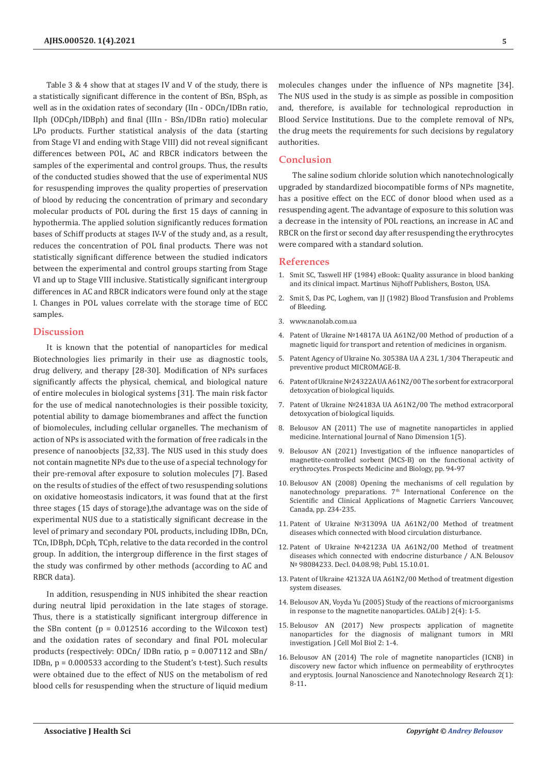Table 3 & 4 show that at stages IV and V of the study, there is a statistically significant difference in the content of BSn, BSph, as well as in the oxidation rates of secondary (IIn - ODCn/IDBn ratio, IIph (ODCph/IDBph) and final (IIIn - BSn/IDBn ratio) molecular LPo products. Further statistical analysis of the data (starting from Stage VI and ending with Stage VIII) did not reveal significant differences between POL, AC and RBCR indicators between the samples of the experimental and control groups. Thus, the results of the conducted studies showed that the use of experimental NUS for resuspending improves the quality properties of preservation of blood by reducing the concentration of primary and secondary molecular products of POL during the first 15 days of canning in hypothermia. The applied solution significantly reduces formation bases of Schiff products at stages IV-V of the study and, as a result, reduces the concentration of POL final products. There was not statistically significant difference between the studied indicators between the experimental and control groups starting from Stage VI and up to Stage VIII inclusive. Statistically significant intergroup differences in AC and RBCR indicators were found only at the stage I. Changes in POL values correlate with the storage time of ECC samples.

#### **Discussion**

It is known that the potential of nanoparticles for medical Biotechnologies lies primarily in their use as diagnostic tools, drug delivery, and therapy [28-30]. Modification of NPs surfaces significantly affects the physical, chemical, and biological nature of entire molecules in biological systems [31]. The main risk factor for the use of medical nanotechnologies is their possible toxicity, potential ability to damage biomembranes and affect the function of biomolecules, including cellular organelles. The mechanism of action of NPs is associated with the formation of free radicals in the presence of nanoobjects [32,33]. The NUS used in this study does not contain magnetite NPs due to the use of a special technology for their pre-removal after exposure to solution molecules [7]. Based on the results of studies of the effect of two resuspending solutions on oxidative homeostasis indicators, it was found that at the first three stages (15 days of storage),the advantage was on the side of experimental NUS due to a statistically significant decrease in the level of primary and secondary POL products, including IDBn, DCn, TCn, IDBph, DCph, TCph, relative to the data recorded in the control group. In addition, the intergroup difference in the first stages of the study was confirmed by other methods (according to AC and RBCR data).

In addition, resuspending in NUS inhibited the shear reaction during neutral lipid peroxidation in the late stages of storage. Thus, there is a statistically significant intergroup difference in the SBn content ( $p = 0.012516$  according to the Wilcoxon test) and the oxidation rates of secondary and final POL molecular products (respectively: ODCn/ IDBn ratio, p = 0.007112 and SBn/ IDBn, p = 0.000533 according to the Student's t-test). Such results were obtained due to the effect of NUS on the metabolism of red blood cells for resuspending when the structure of liquid medium

molecules changes under the influence of NPs magnetite [34]. The NUS used in the study is as simple as possible in composition and, therefore, is available for technological reproduction in Blood Service Institutions. Due to the complete removal of NPs, the drug meets the requirements for such decisions by regulatory authorities.

### **Conclusion**

The saline sodium chloride solution which nanotechnologically upgraded by standardized biocompatible forms of NPs magnetite, has a positive effect on the ECC of donor blood when used as a resuspending agent. The advantage of exposure to this solution was a decrease in the intensity of POL reactions, an increase in AC and RBCR on the first or second day after resuspending the erythrocytes were compared with a standard solution.

#### **References**

- 1. Smit [SC, Taswell HF \(1984\) eBook: Quality assurance in blood banking](https://link.springer.com/book/10.1007/978-1-4613-2835-3) [and its clinical impact. Martinus Nijhoff Publishers, Boston, USA.](https://link.springer.com/book/10.1007/978-1-4613-2835-3)
- 2. Smit S, Das PC, Loghem, van JJ (1982) Blood Transfusion and Problems of Bleeding.
- 3. [www.nanolab.com.ua](http://www.nanolab.com.ua)
- 4. Patent of Ukraine №14817А UA A61N2/00 Method of production of a magnetic liquid for transport and retention of medicines in organism.
- 5. Patent Agency of Ukraine No. 30538А UA A 23L 1/304 Therapeutic and preventive product MICROMAGE-B.
- 6. Patent of Ukraine №24322А UA A61N2/00 The sorbent for extracorporal detoxycation of biological liquids.
- 7. Patent of Ukraine №24183А UA A61N2/00 The method extracorporal detoxycation of biological liquids.
- 8. [Belousov AN \(2011\) The use of magnetite nanoparticles in applied](http://www.ijnd.ir/article_632566.html) [medicine. International Journal of Nano Dimension 1\(5\).](http://www.ijnd.ir/article_632566.html)
- 9. Belousov AN (2021) Investigation of the influence nanoparticles of magnetite-controlled sorbent (MCS-B) on the functional activity of erythrocytes. Prospects Medicine and Biology, pp. 94-97
- 10. Belousov AN (2008) Opening the mechanisms of cell regulation by nanotechnology preparations. 7th International Conference on the Scientific and Clinical Applications of Magnetic Carriers Vancouver, Canada, pp. 234-235.
- 11. Patent of Ukraine №31309А UA A61N2/00 Method of treatment diseases which connected with blood circulation disturbance.
- 12. Patent of Ukraine №42123А UA A61N2/00 Method of treatment diseases which connected with endocrine disturbance / A.N. Belousov № 98084233. Decl. 04.08.98; Publ. 15.10.01.
- 13. Patent of Ukraine 42132А UA A61N2/00 Method of treatment digestion system diseases.
- 14. [Belousov AN, Voyda Yu \(2005\) Study of the reactions of microorganisms](https://www.scirp.org/journal/paperinformation.aspx?paperid=68314) [in response to the magnetite nanoparticles. OALib J 2\(4\): 1-5.](https://www.scirp.org/journal/paperinformation.aspx?paperid=68314)
- 15. Belousov AN (2017) New prospects application of magnetite nanoparticles for the diagnosis of malignant tumors in MRI investigation. J Cell Mol Biol 2: 1-4.
- 16. Belousov AN (2014) The role of magnetite nanoparticles (ICNB) in discovery new factor which influence on permeability of erythrocytes and eryptosis. Journal Nanoscience and Nanotechnology Research 2(1): 8-11**.**